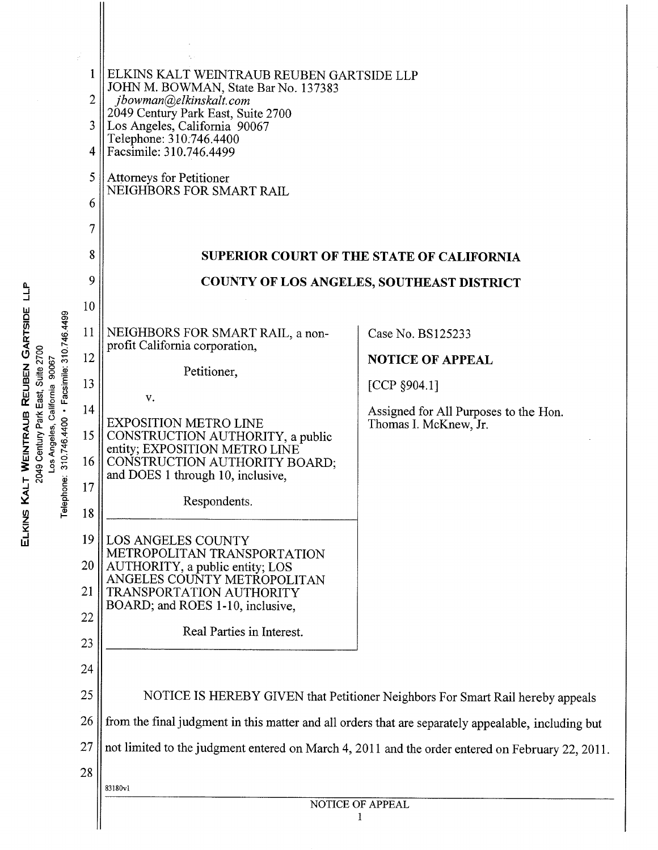|                                                                                                                                                                                                               | 2<br>3<br>4<br>5<br>6<br>7<br>8                                                                                     | ELKINS KALT WEINTRAUB REUBEN GARTSIDE LLP<br>JOHN M. BOWMAN, State Bar No. 137383<br>jbowman@elkinskalt.com<br>2049 Century Park East, Suite 2700<br>Los Angeles, California 90067<br>Telephone: 310.746.4400<br>Facsimile: 310.746.4499<br><b>Attorneys for Petitioner</b><br>NEIGHBORS FOR SMART RAIL<br><b>SUPERIOR COURT OF THE STATE OF CALIFORNIA</b>                                                                                                                                                                                                                                                                                                                                                       |                                                                                                                                                                                                                    |  |  |
|---------------------------------------------------------------------------------------------------------------------------------------------------------------------------------------------------------------|---------------------------------------------------------------------------------------------------------------------|-------------------------------------------------------------------------------------------------------------------------------------------------------------------------------------------------------------------------------------------------------------------------------------------------------------------------------------------------------------------------------------------------------------------------------------------------------------------------------------------------------------------------------------------------------------------------------------------------------------------------------------------------------------------------------------------------------------------|--------------------------------------------------------------------------------------------------------------------------------------------------------------------------------------------------------------------|--|--|
| ء<br>ا<br>GARTSIDE<br>Facsimile: 310.746.4499<br><b>Suite 2700</b><br>90067<br>REUBEN<br>lifornia<br>WEINTRAUB<br>310.746.4400<br>Los Angeles,<br>2049 Century<br>$\mathbf{H}$<br>Ö<br>ELKINS KAL<br>Telephon |                                                                                                                     | <b>COUNTY OF LOS ANGELES, SOUTHEAST DISTRICT</b>                                                                                                                                                                                                                                                                                                                                                                                                                                                                                                                                                                                                                                                                  |                                                                                                                                                                                                                    |  |  |
|                                                                                                                                                                                                               | 9<br>10<br>11<br>12<br>13<br>14<br>15<br>16<br>17<br>18<br>19<br>20<br>21<br>22<br>23<br>24<br>25<br>26<br>27<br>28 | NEIGHBORS FOR SMART RAIL, a non-<br>profit California corporation,<br>Petitioner,<br>V.<br><b>EXPOSITION METRO LINE</b><br>CONSTRUCTION AUTHORITY, a public<br>entity; EXPOSITION METRO LINE<br>CONSTRUCTION AUTHORITY BOARD;<br>and DOES 1 through 10, inclusive,<br>Respondents.<br>LOS ANGELES COUNTY<br>METROPOLITAN TRANSPORTATION<br>AUTHORITY, a public entity; LOS<br>ANGELES COUNTY METROPOLITAN<br>TRANSPORTATION AUTHORITY<br>BOARD; and ROES 1-10, inclusive,<br>Real Parties in Interest.<br>from the final judgment in this matter and all orders that are separately appealable, including but<br>not limited to the judgment entered on March 4, 2011 and the order entered on February 22, 2011. | Case No. BS125233<br><b>NOTICE OF APPEAL</b><br>[CCP $$904.1]$<br>Assigned for All Purposes to the Hon.<br>Thomas I. McKnew, Jr.<br>NOTICE IS HEREBY GIVEN that Petitioner Neighbors For Smart Rail hereby appeals |  |  |
|                                                                                                                                                                                                               |                                                                                                                     | 83180v1                                                                                                                                                                                                                                                                                                                                                                                                                                                                                                                                                                                                                                                                                                           |                                                                                                                                                                                                                    |  |  |
|                                                                                                                                                                                                               |                                                                                                                     | NOTICE OF APPEAL                                                                                                                                                                                                                                                                                                                                                                                                                                                                                                                                                                                                                                                                                                  |                                                                                                                                                                                                                    |  |  |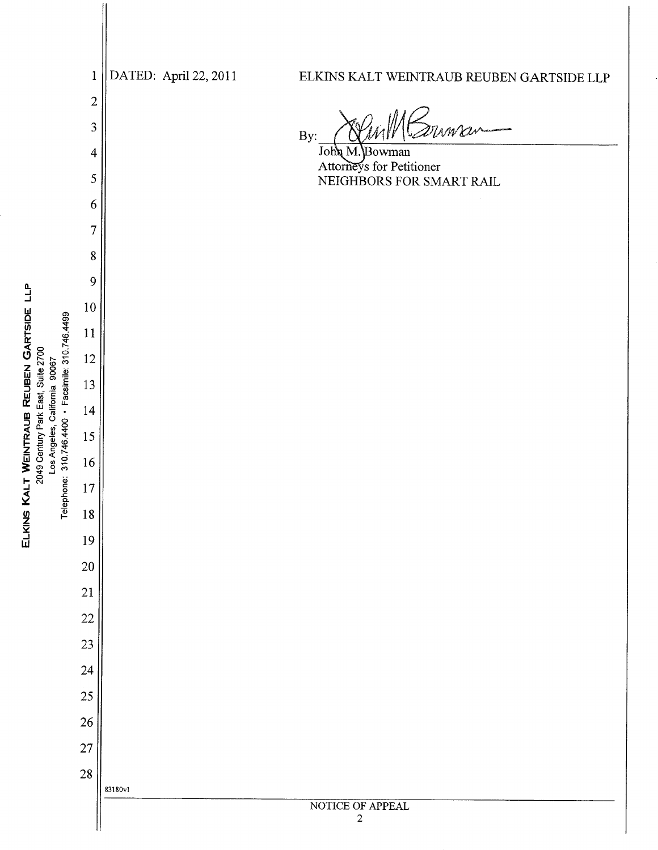DATED: April 22, 2011 ELKINS KALT WEINTRAUB REUBEN GARTSIDE LLP  $\mathbf{1}$  $\overline{2}$ 3 By: John M.  $\overline{4}$ ∤Bowman Attorneys for Petitioner 5 NEIGHBORS FOR SMART RAIL 6  $\overline{7}$ 8 9 10 11  $12\,$ 13 14 15 16  $17\,$ 18 19 20 21 22 23 24 25 26 27 28 83180vl NOTICE OF APPEAL  $\sqrt{2}$ 

ELKINS KALT WEINTRAUB REUBEN GARTSIDE LLP

2049 Century Park East, Suite 2700

Telephone: 310.746.4400 · Facsimile: 310.746.4499

Los Angeles, California 90067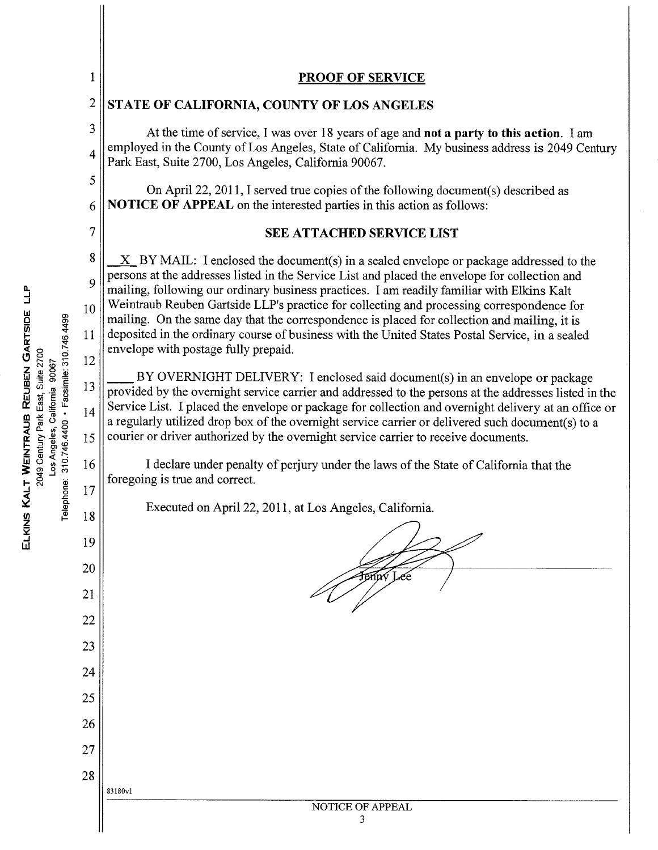| 1                                                                                                                        | <b>PROOF OF SERVICE</b>                                                                                                                                                                                                                                                                                                                                                                                                                                                                                                                                                                                                                                                                                                                                                                                                                                                                                                                                                                                                                                                                                                                                                                                                                                                                                                     |  |  |  |  |  |  |
|--------------------------------------------------------------------------------------------------------------------------|-----------------------------------------------------------------------------------------------------------------------------------------------------------------------------------------------------------------------------------------------------------------------------------------------------------------------------------------------------------------------------------------------------------------------------------------------------------------------------------------------------------------------------------------------------------------------------------------------------------------------------------------------------------------------------------------------------------------------------------------------------------------------------------------------------------------------------------------------------------------------------------------------------------------------------------------------------------------------------------------------------------------------------------------------------------------------------------------------------------------------------------------------------------------------------------------------------------------------------------------------------------------------------------------------------------------------------|--|--|--|--|--|--|
| $\overline{2}$                                                                                                           | STATE OF CALIFORNIA, COUNTY OF LOS ANGELES                                                                                                                                                                                                                                                                                                                                                                                                                                                                                                                                                                                                                                                                                                                                                                                                                                                                                                                                                                                                                                                                                                                                                                                                                                                                                  |  |  |  |  |  |  |
| 3<br>$\overline{4}$                                                                                                      | At the time of service, I was over 18 years of age and not a party to this action. I am<br>employed in the County of Los Angeles, State of California. My business address is 2049 Century<br>Park East, Suite 2700, Los Angeles, California 90067.                                                                                                                                                                                                                                                                                                                                                                                                                                                                                                                                                                                                                                                                                                                                                                                                                                                                                                                                                                                                                                                                         |  |  |  |  |  |  |
| 5<br>6                                                                                                                   | On April 22, 2011, I served true copies of the following document(s) described as<br>NOTICE OF APPEAL on the interested parties in this action as follows:                                                                                                                                                                                                                                                                                                                                                                                                                                                                                                                                                                                                                                                                                                                                                                                                                                                                                                                                                                                                                                                                                                                                                                  |  |  |  |  |  |  |
| 7                                                                                                                        | <b>SEE ATTACHED SERVICE LIST</b>                                                                                                                                                                                                                                                                                                                                                                                                                                                                                                                                                                                                                                                                                                                                                                                                                                                                                                                                                                                                                                                                                                                                                                                                                                                                                            |  |  |  |  |  |  |
| 8<br>9<br>10<br>11<br>12<br>13<br>14<br>15<br>16<br>17<br>18<br>19<br>20<br>21<br>22<br>23<br>24<br>25<br>26<br>27<br>28 | $X$ BY MAIL: I enclosed the document(s) in a sealed envelope or package addressed to the<br>persons at the addresses listed in the Service List and placed the envelope for collection and<br>mailing, following our ordinary business practices. I am readily familiar with Elkins Kalt<br>Weintraub Reuben Gartside LLP's practice for collecting and processing correspondence for<br>mailing. On the same day that the correspondence is placed for collection and mailing, it is<br>deposited in the ordinary course of business with the United States Postal Service, in a sealed<br>envelope with postage fully prepaid.<br>BY OVERNIGHT DELIVERY: I enclosed said document(s) in an envelope or package<br>provided by the overnight service carrier and addressed to the persons at the addresses listed in the<br>Service List. I placed the envelope or package for collection and overnight delivery at an office or<br>a regularly utilized drop box of the overnight service carrier or delivered such document(s) to a<br>courier or driver authorized by the overnight service carrier to receive documents.<br>I declare under penalty of perjury under the laws of the State of California that the<br>foregoing is true and correct.<br>Executed on April 22, 2011, at Los Angeles, California.<br>enuv |  |  |  |  |  |  |
|                                                                                                                          | 83180v1                                                                                                                                                                                                                                                                                                                                                                                                                                                                                                                                                                                                                                                                                                                                                                                                                                                                                                                                                                                                                                                                                                                                                                                                                                                                                                                     |  |  |  |  |  |  |
|                                                                                                                          | NOTICE OF APPEAL<br>3                                                                                                                                                                                                                                                                                                                                                                                                                                                                                                                                                                                                                                                                                                                                                                                                                                                                                                                                                                                                                                                                                                                                                                                                                                                                                                       |  |  |  |  |  |  |
|                                                                                                                          |                                                                                                                                                                                                                                                                                                                                                                                                                                                                                                                                                                                                                                                                                                                                                                                                                                                                                                                                                                                                                                                                                                                                                                                                                                                                                                                             |  |  |  |  |  |  |

 $\hat{\boldsymbol{\beta}}$ 

ELKINS KALT WEINTRAUB REUBEN GARTSIDE LLP<br>2049 Century Park East, Suite 2700<br>Los Angeles, California 90067<br>Telephone: 310.746.4400 - Facsimile: 310.746.4499